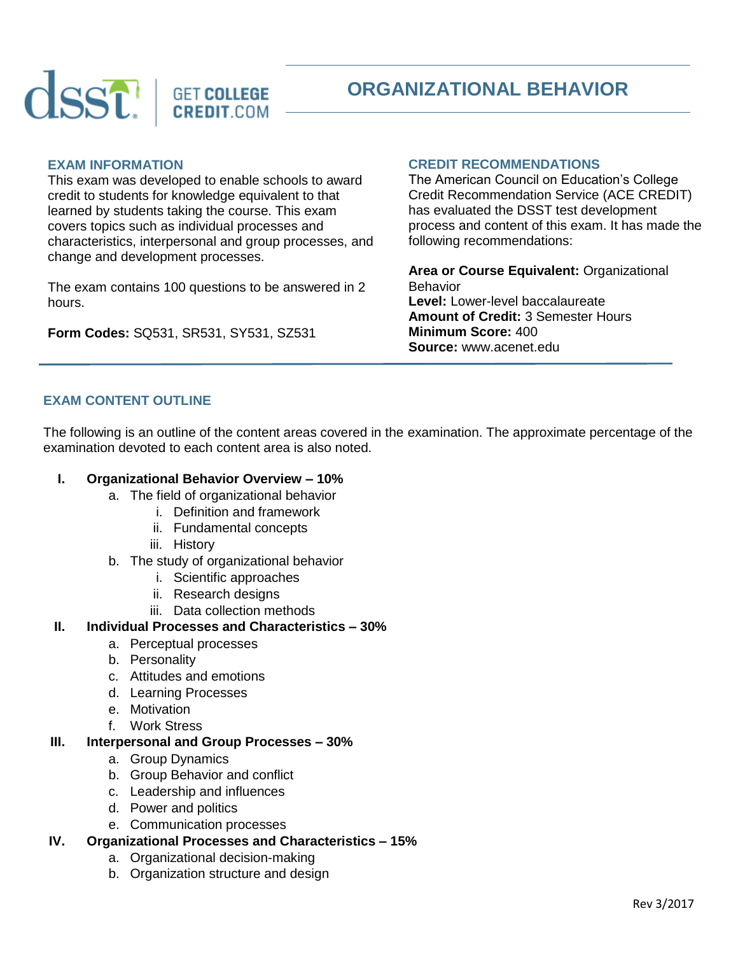

# **ORGANIZATIONAL BEHAVIOR**

## **EXAM INFORMATION**

This exam was developed to enable schools to award credit to students for knowledge equivalent to that learned by students taking the course. This exam covers topics such as individual processes and characteristics, interpersonal and group processes, and change and development processes.

The exam contains 100 questions to be answered in 2 hours.

**Form Codes:** SQ531, SR531, SY531, SZ531

## **CREDIT RECOMMENDATIONS**

The American Council on Education's College Credit Recommendation Service (ACE CREDIT) has evaluated the DSST test development process and content of this exam. It has made the following recommendations:

**Area or Course Equivalent:** Organizational Behavior **Level:** Lower-level baccalaureate **Amount of Credit:** 3 Semester Hours **Minimum Score:** 400 **Source:** www.acenet.edu

# **EXAM CONTENT OUTLINE**

The following is an outline of the content areas covered in the examination. The approximate percentage of the examination devoted to each content area is also noted.

## **I. Organizational Behavior Overview – 10%**

- a. The field of organizational behavior
	- i. Definition and framework
		- ii. Fundamental concepts
		- iii. History
- b. The study of organizational behavior
	- i. Scientific approaches
	- ii. Research designs
	- iii. Data collection methods

## **II. Individual Processes and Characteristics – 30%**

- a. Perceptual processes
- b. Personality
- c. Attitudes and emotions
- d. Learning Processes
- e. Motivation
- f. Work Stress

## **III. Interpersonal and Group Processes – 30%**

- a. Group Dynamics
- b. Group Behavior and conflict
- c. Leadership and influences
- d. Power and politics
- e. Communication processes

## **IV. Organizational Processes and Characteristics – 15%**

- a. Organizational decision-making
- b. Organization structure and design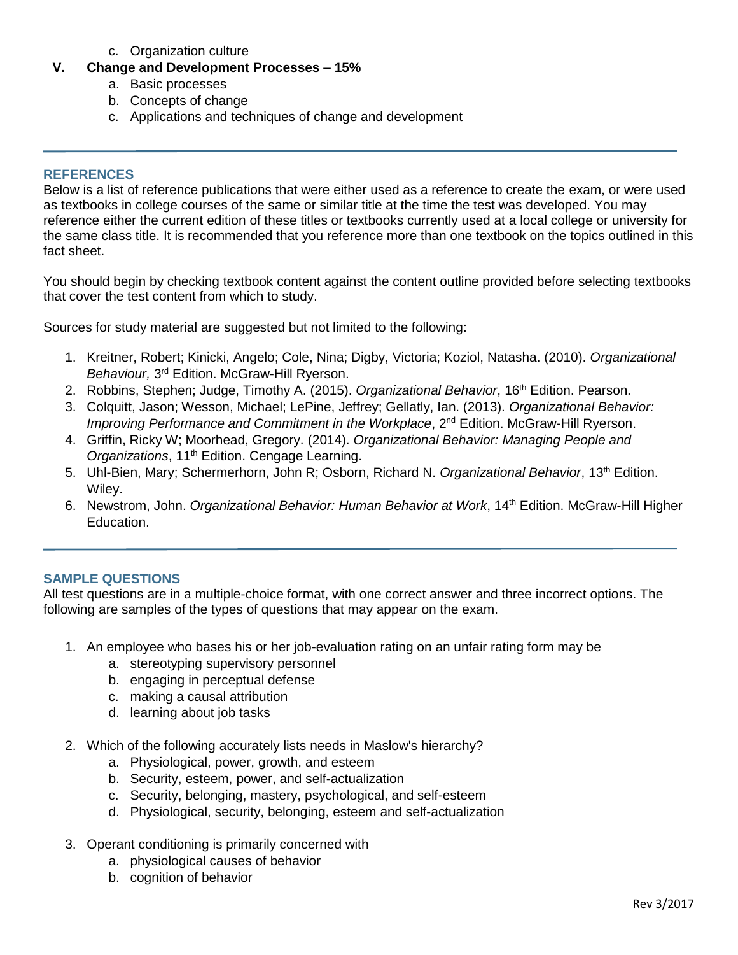- c. Organization culture
- **V. Change and Development Processes – 15%**
	- a. Basic processes
	- b. Concepts of change
	- c. Applications and techniques of change and development

#### **REFERENCES**

Below is a list of reference publications that were either used as a reference to create the exam, or were used as textbooks in college courses of the same or similar title at the time the test was developed. You may reference either the current edition of these titles or textbooks currently used at a local college or university for the same class title. It is recommended that you reference more than one textbook on the topics outlined in this fact sheet.

You should begin by checking textbook content against the content outline provided before selecting textbooks that cover the test content from which to study.

Sources for study material are suggested but not limited to the following:

- 1. Kreitner, Robert; Kinicki, Angelo; Cole, Nina; Digby, Victoria; Koziol, Natasha. (2010). *Organizational*  Behaviour, 3<sup>rd</sup> Edition. McGraw-Hill Ryerson.
- 2. Robbins, Stephen; Judge, Timothy A. (2015). *Organizational Behavior*, 16th Edition. Pearson.
- 3. Colquitt, Jason; Wesson, Michael; LePine, Jeffrey; Gellatly, Ian. (2013). *Organizational Behavior: Improving Performance and Commitment in the Workplace*, 2<sup>nd</sup> Edition. McGraw-Hill Ryerson.
- 4. Griffin, Ricky W; Moorhead, Gregory. (2014). *Organizational Behavior: Managing People and*  Organizations, 11<sup>th</sup> Edition. Cengage Learning.
- 5. Uhl-Bien, Mary; Schermerhorn, John R; Osborn, Richard N. *Organizational Behavior*, 13th Edition. Wiley.
- 6. Newstrom, John. *Organizational Behavior: Human Behavior at Work*, 14<sup>th</sup> Edition. McGraw-Hill Higher Education.

## **SAMPLE QUESTIONS**

All test questions are in a multiple-choice format, with one correct answer and three incorrect options. The following are samples of the types of questions that may appear on the exam.

- 1. An employee who bases his or her job-evaluation rating on an unfair rating form may be
	- a. stereotyping supervisory personnel
	- b. engaging in perceptual defense
	- c. making a causal attribution
	- d. learning about job tasks
- 2. Which of the following accurately lists needs in Maslow's hierarchy?
	- a. Physiological, power, growth, and esteem
	- b. Security, esteem, power, and self-actualization
	- c. Security, belonging, mastery, psychological, and self-esteem
	- d. Physiological, security, belonging, esteem and self-actualization
- 3. Operant conditioning is primarily concerned with
	- a. physiological causes of behavior
	- b. cognition of behavior